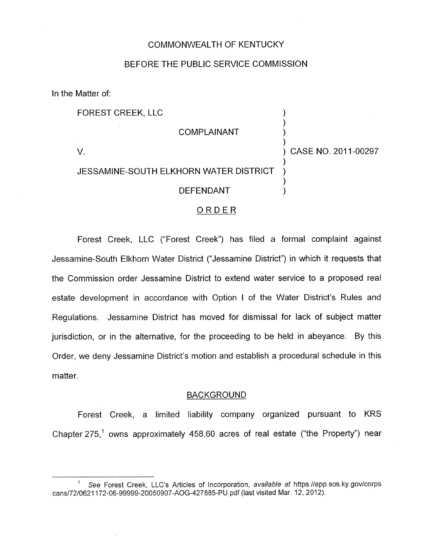#### COMMONWEALTH OF KENTUCKY

### BEFORE THE PUBLIC SERVICE COMMISSION

In the Matter of:

FOREST CREEK, LLC )

**COMPLAINANT** 

V. ) CASE NO. 201 1-00297

 $\sum_{i=1}^{n}$ 

 $\sum_{i=1}^{n}$ 

 $\sum_{i=1}^{n}$ 

# JESSAMINE-SOUTH ELKHORN WATER DISTRICT

## **DEFENDANT**

#### ORDER

Forest Creek, LLC ("Forest Creek") has filed a formal complaint against Jessamine-South Elkhorn Water District ("Jessamine District") in which it requests that the Commission order Jessamine District to extend water service to a proposed real estate development in accordance with Option I of the Water District's Rules and Regulations. Jessamine District has moved for dismissal for lack of subject matter jurisdiction, or in the alternative, for the proceeding to be held in abeyance. By this Order, we deny Jessamine District's motion and establish a procedural schedule in this matter,

#### **BACKGROUND**

Forest Creek, a limited liability company organized pursuant to KRS Chapter 275,' owns approximately 458.60 acres of real estate ("the Property") near

See Forest Creek, LLC's Articles of Incorporation, *available at* [https://app.sos.](https://app.sos) ky.gov/corps **<sup>1</sup>** cans/72/0621172-06-99999-20050907-AOG-427885-PU.pdf (last visited Mar. 12, 2012).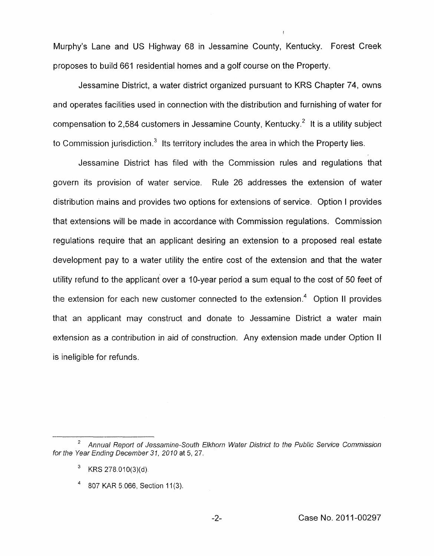Murphy's Lane and US Highway 68 in Jessamine County, Kentucky. Forest Creek proposes to build 661 residential homes and a golf course on the Property.

I

Jessamine District, a water district organized pursuant to KRS Chapter 74, owns and operates facilities used in connection with the distribution and furnishing of water for compensation to 2,584 customers in Jessamine County, Kentucky.<sup>2</sup> It is a utility subject to Commission jurisdiction. $3$  Its territory includes the area in which the Property lies.

Jessamine District has filed with the Commission rules and regulations that govern its provision of water service. Rule 26 addresses the extension of water distribution mains and provides two options for extensions of service. Option I provides that extensions will be made in accordance with Commission regulations. Commission regulations require that an applicant desiring an extension to a proposed real estate development pay to a water utility the entire cost of the extension and that the water utility refund to the applicant over a IO-year period a sum equal to the cost of 50 feet of the extension for each new customer connected to the extension.<sup>4</sup> Option II provides that an applicant may construct and donate to Jessamine District a water main extension as a contribution in aid of construction. Any extension made under Option I1 is ineligible for refunds.

*Annual Report of Jessamine-South Elkhorn Water District to the Public Service Commission <sup>2</sup> for the Year Ending December 31, 2010* at 5,27.

KRS 278.010(3)(d)

<sup>807</sup> KAR 5:066, Section 11(3).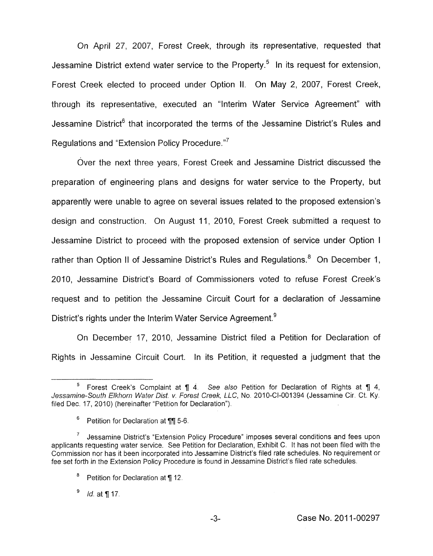On April 27, 2007, Forest Creek, through its representative, requested that Jessamine District extend water service to the Property.<sup>5</sup> In its request for extension, Forest Creek elected to proceed under Option **11.** On May 2, 2007, Forest Creek, through its representative, executed an "Interim Water Service Agreement'' with Jessamine District<sup>6</sup> that incorporated the terms of the Jessamine District's Rules and Regulations and "Extension Policy Procedure." $7$ 

Over the next three years, Forest Creek and Jessamine District discussed the preparation of engineering plans and designs for water service to the Property, but apparently were unable to agree on several issues related to the proposed extension's design and construction. On August 11, 2010, Forest Creek submitted a request to Jessamine District to proceed with the proposed extension of service under Option <sup>I</sup> rather than Option II of Jessamine District's Rules and Regulations.<sup>8</sup> On December 1, 2010. Jessamine District's Board of Commissioners voted to refuse Forest Creek's request and to petition the Jessamine Circuit Court for a declaration of Jessamine District's rights under the Interim Water Service Agreement.<sup>9</sup>

On December 17, 2010, Jessamine District filed a Petition for Declaration of Rights in Jessamine Circuit Court. In its Petition, it requested a judgment that the

Forest Creek's Complaint at **1** 4. See also Petition for Declaration of Rights at **1** 4, **5**  Jessamine-South Elkhorn Wafer Dist. *v"* Forest Creek, *LLC,* No. 2010-Cl-001394 (Jessamine Cir. Ct. Ky. filed Dec. 17, 2010) (hereinafter "Petition for Declaration").

<sup>&</sup>lt;sup>6</sup> Petition for Declaration at ¶¶ 5-6.

Jessamine District's "Extension Policy Procedure" imposes several conditions and fees upon applicants requesting water service. See Petition for Declaration, Exhibit C. It has not been filed with the Commission nor has it been incorporated into Jessamine District's filed rate schedules. No requirement or fee set forth in the Extension Policy Procedure is found in Jessamine District's filed rate schedules. 7

<sup>&</sup>lt;sup>8</sup> Petition for Declaration at ¶ 12.

<sup>9</sup> Id. at **7** 17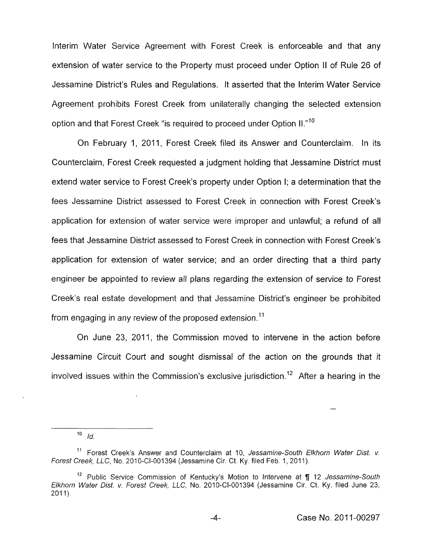Interim Water Service Agreement with Forest Creek is enforceable and that any extension of water service to the Property must proceed under Option I1 of Rule 26 of Jessamine District's Rules and Regulations. It asserted that the Interim Water Service Agreement prohibits Forest Creek from unilaterally changing the selected extension option and that Forest Creek "is required to proceed under Option II."<sup>10</sup>

On February 1, 2011, Forest Creek filed its Answer and Counterclaim. In its Counterclaim, Forest Creek requested a judgment holding that Jessamine District must extend water service to Forest Creek's property under Option I; a determination that the fees Jessamine District assessed to Forest Creek in connection with Forest Creek's application for extension of water service were improper and unlawful; a refund of all fees that Jessamine District assessed to Forest Creek in connection with Forest Creek's application for extension of water service; and an order directing that a third party engineer be appointed to review all plans regarding the extension of service to Forest Creek's real estate development and that Jessamine District's engineer be prohibited from engaging in any review of the proposed extension.<sup>11</sup>

On June 23, 2011, the Commission moved to intervene in the action before Jessamine Circuit Court and sought dismissal of the action on the grounds that it involved issues within the Commission's exclusive jurisdiction.<sup>12</sup> After a hearing in the

 $10$  *Id.* 

<sup>&</sup>lt;sup>11</sup> Forest Creek's Answer and Counterclaim at 10, Jessamine-South Elkhorn Water Dist. v. *Forest Creek, LLC, No. 2010-CI-001394 (Jessamine Cir. Ct. Ky. filed Feb. 1, 2011).* 

<sup>&</sup>lt;sup>12</sup> Public Service Commission of Kentucky's Motion to Intervene at ¶ 12 *Jessamine-South Elkhorn Water Dist. v. forest Creek, LLC,* No. 2010-Cl-001394 (Jessamine Cir. Ct. Ky. filed June 23,  $2011$ ).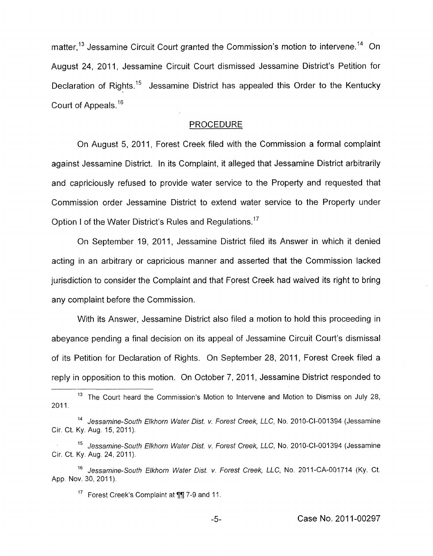matter,<sup>13</sup> Jessamine Circuit Court granted the Commission's motion to intervene.<sup>14</sup> On August 24, 2011, Jessamine Circuit Court dismissed Jessamine District's Petition for Declaration of Rights.<sup>15</sup> Jessamine District has appealed this Order to the Kentucky Court of Appeals.<sup>16</sup>

#### PROCEDURE

On August 5, 2011, Forest Creek filed with the Commission a formal complaint against Jessamine District. In its Complaint, it alleged that Jessamine District arbitrarily and capriciously refused to provide water service to the Property and requested that Commission order Jessamine District to extend water service to the Property under Option I of the Water District's Rules and Regulations.<sup>17</sup>

On September 19, 2011, Jessamine District filed its Answer in which it denied acting in an arbitrary or capricious manner and asserted that the Commission lacked jurisdiction to consider the Complaint and that Forest Creek had waived its right to bring any complaint before the Commission.

With its Answer, Jessamine District also filed a motion to hold this proceeding in abeyance pending a final decision on its appeal of Jessamine Circuit Court's dismissal of its Petition for Declaration of Rights. On September 28, 2011, Forest Creek filed a reply in opposition to this motion. On October 7, 2011, Jessamine District responded to

<sup>17</sup> Forest Creek's Complaint at **11** 7-9 and 11.

<sup>&</sup>lt;sup>13</sup> The Court heard the Commission's Motion to Intervene and Motion to Dismiss on July 28, 201 1 **<sup>I</sup>**

**l4** *Jessamine-Soufh Elkhorn Water Dist. v. Forest Creek, LLC,* No. 2010-CI-001394 (Jessamine Cir. Ct. Ky. Aug. 15, 2011).

<sup>&</sup>lt;sup>15</sup> Jessamine-South Elkhorn Water Dist. v. Forest Creek, LLC, No. 2010-CI-001394 (Jessamine Cir. Ct. Ky. Aug. 24, 2011).

<sup>&</sup>lt;sup>16</sup> Jessamine-South Elkhorn Water Dist. v. Forest Creek, LLC, No. 2011-CA-001714 (Ky. Ct. App. Nov. 30, 2011).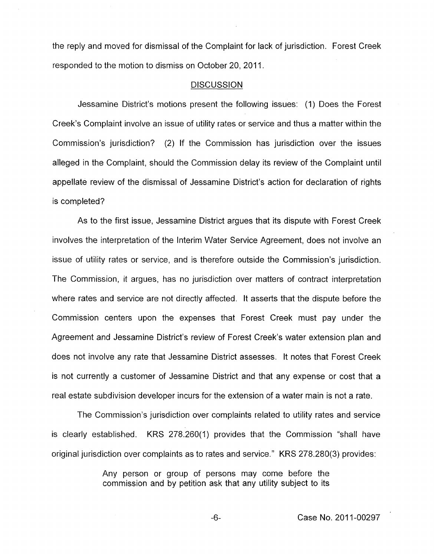the reply and moved for dismissal of the Complaint for lack of jurisdiction. Forest Creek responded to the motion to dismiss on October 20, 2011.

#### **DISCUSSION**

Jessamine District's motions present the following issues: (1) Does the Forest Creek's Complaint involve an issue of utility rates or service and thus a matter within the Commission's jurisdiction? (2) If the Commission has jurisdiction over the issues alleged in the Complaint, should the Commission delay its review of the Complaint until appellate review of the dismissal of Jessamine District's action for declaration of rights is completed?

As to the first issue, Jessamine District argues that its dispute with Forest Creek involves the interpretation of the Interim Water Service Agreement, does not involve an issue of utility rates or service, and is therefore outside the Commission's jurisdiction. The Commission, it argues, has no jurisdiction over matters of contract interpretation where rates and service are not directly affected. It asserts that the dispute before the Commission centers upon the expenses that Forest Creek must pay under the Agreement and Jessamine District's review of Forest Creek's water extension plan and does not involve any rate that Jessamine District assesses. It notes that Forest Creek is not currently a customer of Jessamine District and that any expense or cost that a real estate subdivision developer incurs for the extension of a water main is not a rate.

The Commission's jurisdiction over complaints related to utility rates and service is clearly established. KRS 278.260(1) provides that the Commission "shall have original jurisdiction over complaints as to rates and service." KRS 278.280(3) provides:

> Any person or group of persons may come before the commission and by petition ask that any utility subject to its

> > -6- Case No. 201 1-00297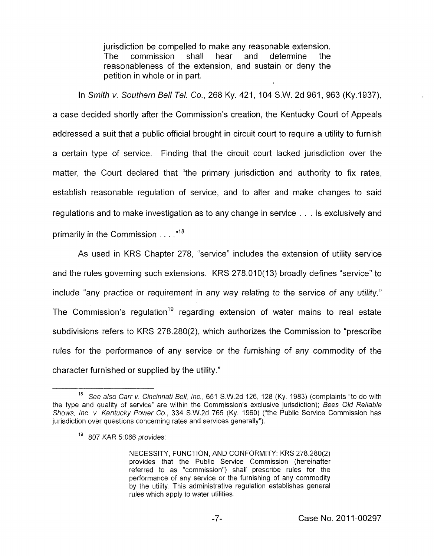jurisdiction be compelled to make any reasonable extension.<br>The commission shall hear and determine the The commission shall hear and determine the reasonableness of the extension, and sustain or deny the petition in whole or in part.

In *Srnifh v. Southern Bell Tel. Co.,* 268 Ky. 421 , 104 S.W. 2d 961, 963 (Ky.l937), a case decided shortly after the Commission's creation, the Kentucky Court of Appeals addressed a suit that a public official brought in circuit court to require a utility to furnish a certain type of service. Finding that the circuit court lacked jurisdiction over the matter, the Court declared that "the primary jurisdiction and authority to fix rates, establish reasonable regulation of service, and to alter and make changes to said regulations and to make investigation as to any change in service . . . is exclusively and primarily in the Commission . . . . **,118** 

As used in KRS Chapter 278, "service" includes the extension of utility service and the rules governing such extensions. KRS 278.010(13) broadly defines "service" to include "any practice or requirement in any way relating *to* the service of any utility." The Commission's regulation<sup>19</sup> regarding extension of water mains to real estate subdivisions refers to KRS 278.280(2), which authorizes the Commission to "prescribe rules for the performance of any service or the furnishing of any commodity of the character furnished or supplied by the utility.''

*See also Carr v. Cincinnafi Bell, lnc.,* 651 S.W.2d 126, 128 (Ky. 1983) (complaints "to do with the type and quality of service" are within the Commission's exclusive jurisdiction); *Bees Old Reliable Shows, Inc. v. Kentucky Power* Co., 334 S.W.2d 765 (Ky. 1960) ("the Public Service Commission has jurisdiction over questions concerning rates and services generally"). 18

<sup>&</sup>lt;sup>19</sup> 807 KAR 5:066 provides:

NECESSITY, FUNCTION, AND CONFORMITY: KRS 278.280(2) provides that the Public Service Commission (hereinafter referred to as "commission") shall prescribe rules for the performance of any service or the furnishing of any commodity by the utility. This administrative regulation establishes general rules which apply to water utilities.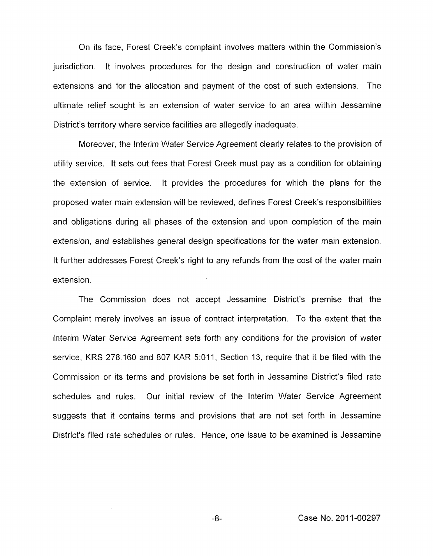On its face, Forest Creek's complaint involves matters within the Commission's jurisdiction. It involves procedures for the design and construction of water main extensions and for the allocation and payment of the cost of such extensions. The ultimate relief sought is an extension of water service to an area within Jessamine District's territory where service facilities are allegedly inadequate.

Moreover, the Interim Water Service Agreement clearly relates to the provision of utility service. It sets out fees that Forest Creek must pay as a condition for obtaining the extension of service. It provides the procedures for which the plans for the proposed water main extension will be reviewed, defines Forest Creek's responsibilities and obligations during all phases of the extension and upon completion of the main extension, and establishes general design specifications for the water main extension. It further addresses Forest Creek's right to any refunds from the cost of the water main extension.

The Commission does not accept Jessamine District's premise that the Complaint merely involves an issue of contract interpretation. To the extent that the Interim Water Service Agreement sets forth any conditions for the provision of water service, KRS 278. I60 and 807 KAR 5:011, Section 13, require that it be filed with the Commission or its terms and provisions be set forth in Jessamine District's filed rate schedules and rules. Our initial review of the Interim Water Service Agreement suggests that it contains terms and provisions that are not set forth in Jessamine District's filed rate schedules or rules. Hence, one issue to be examined is Jessamine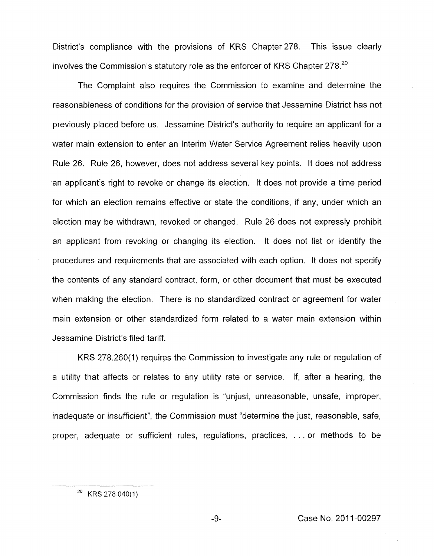District's compliance with the provisions of KRS Chapter 278. involves the Commission's statutory role as the enforcer of KRS Chapter  $278$ .<sup>20</sup> This issue clearly

The Complaint also requires the Commission to examine and determine the reasonableness of conditions for the provision of service that Jessamine District has not previously placed before us. Jessamine District's authority to require an applicant for a water main extension to enter an Interim Water Service Agreement relies heavily upon Rule 26. Rule 26, however, does not address several key points. It does not address an applicant's right to revoke or change its election. It does not provide a time period for which an election remains effective or state the conditions, if any, under which an election may be withdrawn, revoked or changed. Rule 26 does not expressly prohibit an applicant from revoking or changing its election. It does not list or identify the procedures and requirements that are associated with each option. It does not specify the contents of any standard contract, form, or other document that must be executed when making the election. There is no standardized contract or agreement for water main extension or other standardized form related to a water main extension within Jessamine District's filed tariff.

KRS 278.260(1) requires the Commission to investigate any rule or regulation of a utility that affects or relates to any utility rate or service. If, after a hearing, the Commission finds the rule or regulation is "unjust, unreasonable, unsafe, improper, inadequate or insufficient", the Commission must "determine the just, reasonable, safe, proper, adequate or sufficient rules, regulations, practices, . . . or methods to be

 $^{20}$  KRS 278 040(1).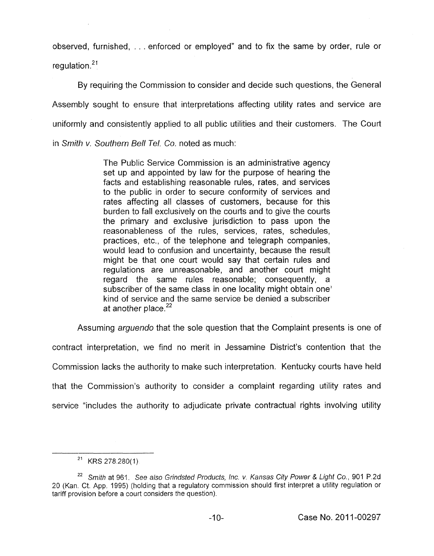observed, furnished, . . . enforced or employed" and to fix the same by order, rule or regulation. $21$ 

By requiring the Commission to consider and decide such questions, the General Assembly sought to ensure that interpretations affecting utility rates and service are uniformly and consistently applied to all public utilities and their customers. The Court in *Smith v. Southern Bell Tel.* Co. noted as much:

> The Public Service Commission is an administrative agency set up and appointed by law for the purpose of hearing the facts and establishing reasonable rules, rates, and services to the public in order to secure conformity of services and rates affecting all classes of customers, because for this burden to fall exclusively on the courts and to give the courts the primary and exclusive jurisdiction to pass upon the reasonableness of the rules, services, rates, schedules, practices, etc., of the telephone and telegraph companies, would lead to confusion and uncertainty, because the result might be that one court would say that certain rules and regulations are unreasonable, and another court might regard the same rules reasonable; consequently, a subscriber of the same class in one locality might obtain one' kind of service and the same service be denied a subscriber at another place. $22$

Assuming *arguendo* that the sole question that the Complaint presents is one of contract interpretation, we find no merit in Jessamine District's contention that the Commission lacks the authority to make such interpretation. Kentucky courts have held that the Commission's authority to consider a complaint regarding utility rates and service "includes the authority to adjudicate private contractual rights involving utility

 $21$  KRS 278.280(1).

*Smith* at 961. *See also Grindsted Products, Inc. v. Kansas City Power* & *Light Co.,* 901 P.2d *22*  20 (Kan. Ct. App. 1995) (holding that a regulatory commission should first interpret a utility regulation or tariff provision before a court considers the question).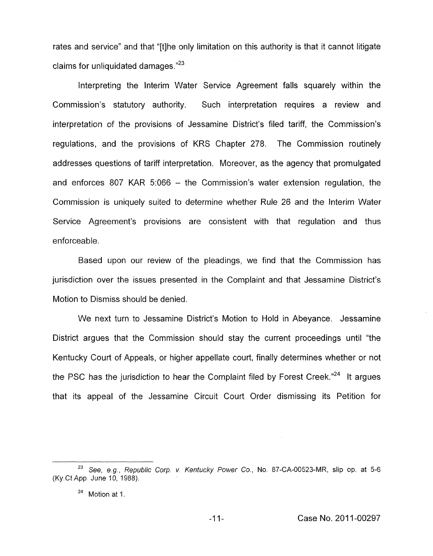rates and service" and that "[tlhe only limitation on this authority is that it cannot litigate claims for unliquidated damages."<sup>23</sup>

Interpreting the Interim Water Service Agreement falls squarely within the Commission's statutory authority. Such interpretation requires a review and interpretation of the provisions of Jessamine District's filed tariff, the Commission's regulations, and the provisions of KRS Chapter 278. The Commission routinely addresses questions of tariff interpretation. Moreover, as the agency that promulgated and enforces 807 KAR 5:066 - the Commission's water extension regulation, the Commission is uniquely suited to determine whether Rule 26 and the Interim Water Service Agreement's provisions are consistent with that regulation and thus enforceable.

Based upon our review of the pleadings, we find that the Commission has jurisdiction over the issues presented in the Complaint and that Jessamine District's Motion to Dismiss should be denied.

We next turn to Jessamine District's Motion to Hold in Abeyance. Jessamine District argues that the Commission should stay the current proceedings until "the Kentucky Court of Appeals, or higher appellate court, finally determines whether or not the PSC has the jurisdiction to hear the Complaint filed by Forest Creek."<sup>24</sup> It argues that its appeal of the Jessamine Circuit Court Order dismissing its Petition for

*See, eg, Republic Corp v Kentucky Power Co.,* No. 87-CA-00523-MR, **slip** op. at 5-6 **<sup>23</sup>** (Ky.Ct App June 10, 1988).

 $24$  Motion at 1.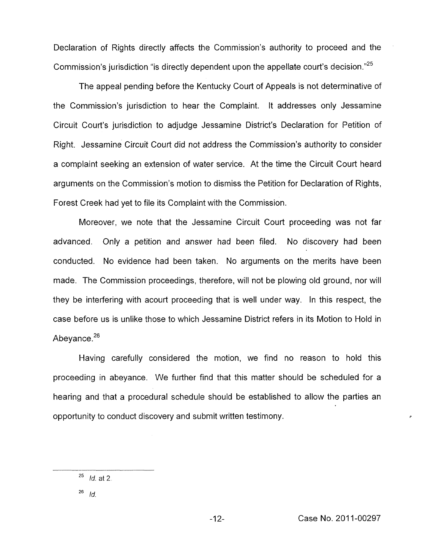Declaration of Rights directly affects the Commission's authority to proceed and the Commission's jurisdiction "is directly dependent upon the appellate court's decision." $^{25}$ 

The appeal pending before the Kentucky Court of Appeals is not determinative of the Commission's jurisdiction to hear the Complaint. It addresses only Jessamine Circuit Court's jurisdiction to adjudge Jessamine District's Declaration for Petition of Right. Jessamine Circuit Court did not address the Commission's authority to consider a complaint seeking an extension of water service. At the time the Circuit Court heard arguments on the Commission's motion to dismiss the Petition for Declaration of Rights, Forest Creek had yet to file its Complaint with the Commission.

Moreover, we note that the Jessamine Circuit Court proceeding was not far advanced. Only a petition and answer had been filed. No discovery had been conducted. No evidence had been taken. No arguments on the merits have been made. The Commission proceedings, therefore, will not be plowing old ground, nor will they be interfering with acourt proceeding that is well under way. In this respect, the case before us is unlike those to which Jessamine District refers in its Motion to Hold in Abevance. $26$ 

Having carefully considered the motion, we find no reason to hold this proceeding in abeyance. We further find that this matter should be scheduled for a hearing and that a procedural schedule should be established to allow the parties an opportunity to conduct discovery and submit written testimony.

*c* 

<sup>25</sup>*Id.* at *2* 

*Id.* <sup>26</sup>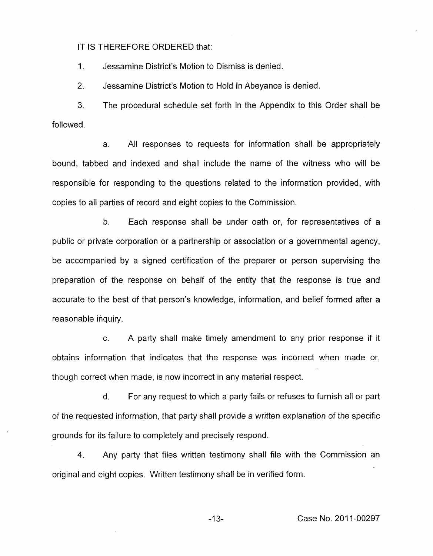IT IS THEREFORE ORDERED that:

1. Jessamine District's Motion to Dismiss is denied.

*2,*  Jessamine District's Motion to Hold In Abeyance is denied.

3. followed. The procedural schedule set forth in the Appendix to this Order shall be

a. All responses to requests for information shall be appropriately bound, tabbed and indexed and shall include the name of the witness who will be responsible for responding to the questions related to the information provided, with copies to all parties of record and eight copies to the Commission.

b. Each response shall be under oath or, for representatives of a public or private corporation or a partnership or association or a governmental agency, be accompanied by a signed certification of the preparer or person supervising the preparation of the response on behalf of the entity that the response is true and accurate to the best of that person's knowledge, information, and belief formed after a reasonable inquiry.

c. A party shall make timely amendment to any prior response if it obtains information that indicates that the response was incorrect when made or, though correct when made, is now incorrect in any material respect.

d. For any request to which a party fails or refuses to furnish all or part of the requested information, that party shall provide a written explanation of the specific grounds for its failure to completely and precisely respond.

**4.** Any party that files written testimony shall file with the Commission an original and eight copies. Written testimony shall be in verified form.

-1 **3-** Case No. 201 1-00297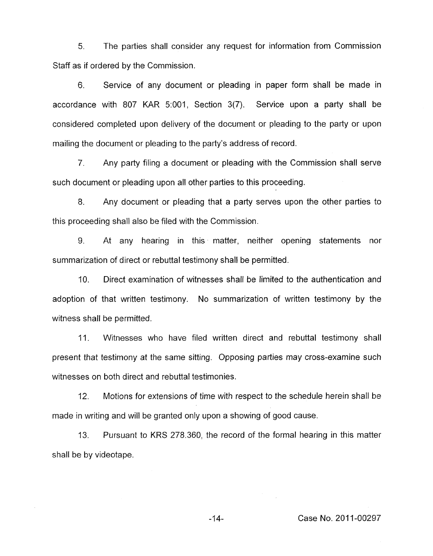*5.* The parties shall consider any request for information from Commission Staff as if ordered by the Commission.

6. Service of any document or pleading in paper form shall be made in accordance with 807 KAR 5:001, Section 3(7). Service upon a party shall be considered completed upon delivery of the document or pleading to the party or upon mailing the document or pleading to the party's address of record.

7. Any party filing a document or pleading with the Commission shall serve such document or pleading upon all other parties to this proceeding.

8. Any document or pleading that a party serves upon the other parties to this proceeding shall also be filed with the Commission.

9. At any hearing in this matter, neither opening statements nor summarization of direct or rebuttal testimony shall be permitted.

IO. Direct examination of witnesses shall be limited to the authentication and adoption of that written testimony. No summarization of written testimony by the witness shall be permitted.

11. Witnesses who have filed written direct and rebuttal testimony shall present that testimony at the same sitting. Opposing parties may cross-examine such witnesses on both direct and rebuttal testimonies.

12. Motions for extensions of time with respect to the schedule herein shall be made in writing and will be granted only upon a showing of good cause.

13. Pursuant to **KRS** 278.360, the record of the formal hearing in this matter shall be by videotape.

-14- Case No. 2011-00297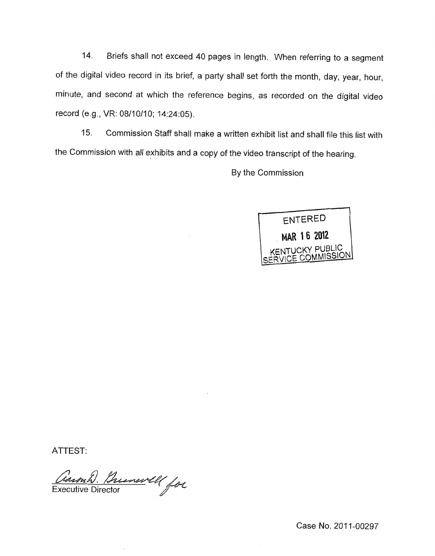14. Briefs shall not exceed 40 pages in length. When referring to a segment of the digital video record in its brief, a party shall set forth the month, day, year, hour, minute, and second at which the reference begins, as recorded on the digital video record (e.g., VR: 08/10/10; 14:24:05).

15. Commission Staff shall make a written exhibit list and shall file this list with the Commission with all exhibits and a copy of the video transcript of the hearing.

By the Commission



ATTEST:

Caronh. Brunwell for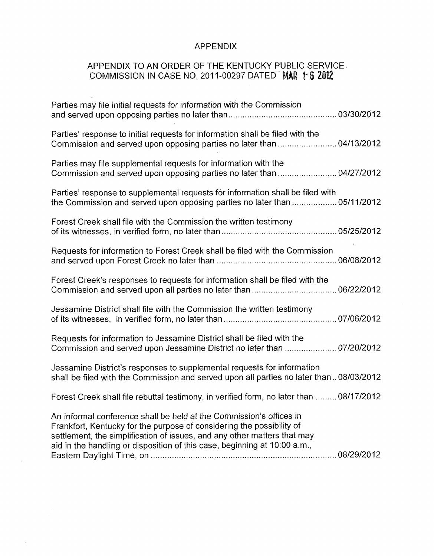## APPENDIX

# APPENDIX TO AN ORDER OF THE KENTUCKY PUBLIC SERVICE COMMISSION IN CASE NO. 2011-00297 DATED MAR 16 2012

| Parties' response to initial requests for information shall be filed with the<br>Commission and served upon opposing parties no later than  04/13/2012                                                                                                                                                |  |
|-------------------------------------------------------------------------------------------------------------------------------------------------------------------------------------------------------------------------------------------------------------------------------------------------------|--|
| Parties may file supplemental requests for information with the<br>Commission and served upon opposing parties no later than  04/27/2012                                                                                                                                                              |  |
| Parties' response to supplemental requests for information shall be filed with<br>the Commission and served upon opposing parties no later than  05/11/2012                                                                                                                                           |  |
| Forest Creek shall file with the Commission the written testimony                                                                                                                                                                                                                                     |  |
| Requests for information to Forest Creek shall be filed with the Commission                                                                                                                                                                                                                           |  |
| Forest Creek's responses to requests for information shall be filed with the                                                                                                                                                                                                                          |  |
| Jessamine District shall file with the Commission the written testimony                                                                                                                                                                                                                               |  |
| Requests for information to Jessamine District shall be filed with the<br>Commission and served upon Jessamine District no later than  07/20/2012                                                                                                                                                     |  |
| Jessamine District's responses to supplemental requests for information<br>shall be filed with the Commission and served upon all parties no later than08/03/2012                                                                                                                                     |  |
| Forest Creek shall file rebuttal testimony, in verified form, no later than  08/17/2012                                                                                                                                                                                                               |  |
| An informal conference shall be held at the Commission's offices in<br>Frankfort, Kentucky for the purpose of considering the possibility of<br>settlement, the simplification of issues, and any other matters that may<br>aid in the handling or disposition of this case, beginning at 10:00 a.m., |  |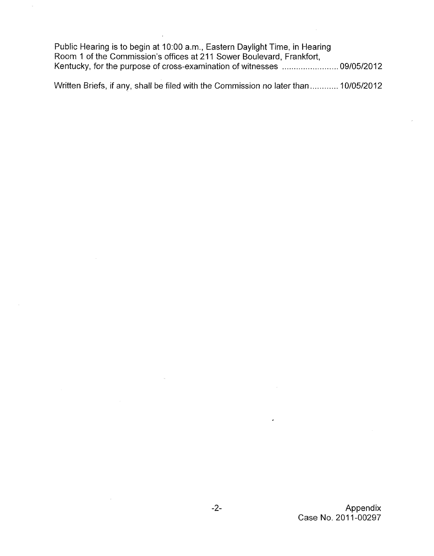Public Hearing is to begin at 1O:OO a.m., Eastern Daylight Time, in Hearing Room 1 of the Commission's offices at 211 Sower Boulevard, Frankfort, Kentucky, for the purpose of cross-examination of witnesses ......". ... . . . . ".. . . . ".. 09/05/2012

Written Briefs, if any, shall be filed with the Commission no later than ............ 10/05/2012

 $\bar{z}$ 

 $\overline{a}$